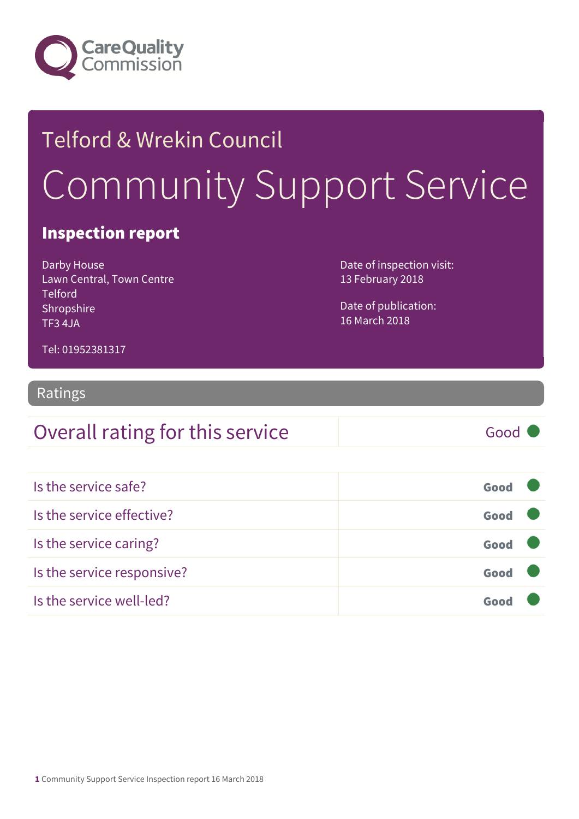

# Telford & Wrekin Council Community Support Service

#### Inspection report

Darby House Lawn Central, Town Centre Telford Shropshire TF3 4JA

Date of inspection visit: 13 February 2018

Date of publication: 16 March 2018

Tel: 01952381317

#### Ratings

| Overall rating for this service | Good |
|---------------------------------|------|
|                                 |      |

| Is the service safe?       | Good |  |
|----------------------------|------|--|
| Is the service effective?  | Good |  |
| Is the service caring?     | Good |  |
| Is the service responsive? | Good |  |
| Is the service well-led?   |      |  |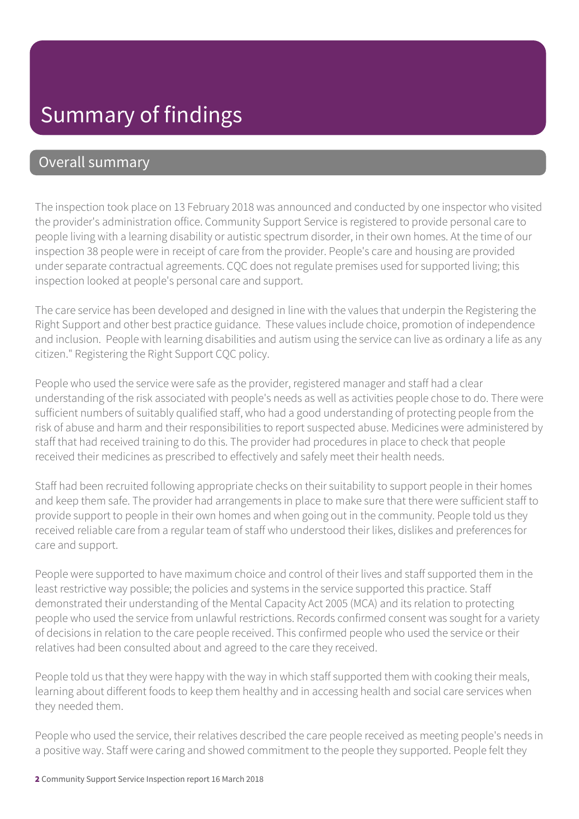### Summary of findings

#### Overall summary

The inspection took place on 13 February 2018 was announced and conducted by one inspector who visited the provider's administration office. Community Support Service is registered to provide personal care to people living with a learning disability or autistic spectrum disorder, in their own homes. At the time of our inspection 38 people were in receipt of care from the provider. People's care and housing are provided under separate contractual agreements. CQC does not regulate premises used for supported living; this inspection looked at people's personal care and support.

The care service has been developed and designed in line with the values that underpin the Registering the Right Support and other best practice guidance. These values include choice, promotion of independence and inclusion. People with learning disabilities and autism using the service can live as ordinary a life as any citizen." Registering the Right Support CQC policy.

People who used the service were safe as the provider, registered manager and staff had a clear understanding of the risk associated with people's needs as well as activities people chose to do. There were sufficient numbers of suitably qualified staff, who had a good understanding of protecting people from the risk of abuse and harm and their responsibilities to report suspected abuse. Medicines were administered by staff that had received training to do this. The provider had procedures in place to check that people received their medicines as prescribed to effectively and safely meet their health needs.

Staff had been recruited following appropriate checks on their suitability to support people in their homes and keep them safe. The provider had arrangements in place to make sure that there were sufficient staff to provide support to people in their own homes and when going out in the community. People told us they received reliable care from a regular team of staff who understood their likes, dislikes and preferences for care and support.

People were supported to have maximum choice and control of their lives and staff supported them in the least restrictive way possible; the policies and systems in the service supported this practice. Staff demonstrated their understanding of the Mental Capacity Act 2005 (MCA) and its relation to protecting people who used the service from unlawful restrictions. Records confirmed consent was sought for a variety of decisions in relation to the care people received. This confirmed people who used the service or their relatives had been consulted about and agreed to the care they received.

People told us that they were happy with the way in which staff supported them with cooking their meals, learning about different foods to keep them healthy and in accessing health and social care services when they needed them.

People who used the service, their relatives described the care people received as meeting people's needs in a positive way. Staff were caring and showed commitment to the people they supported. People felt they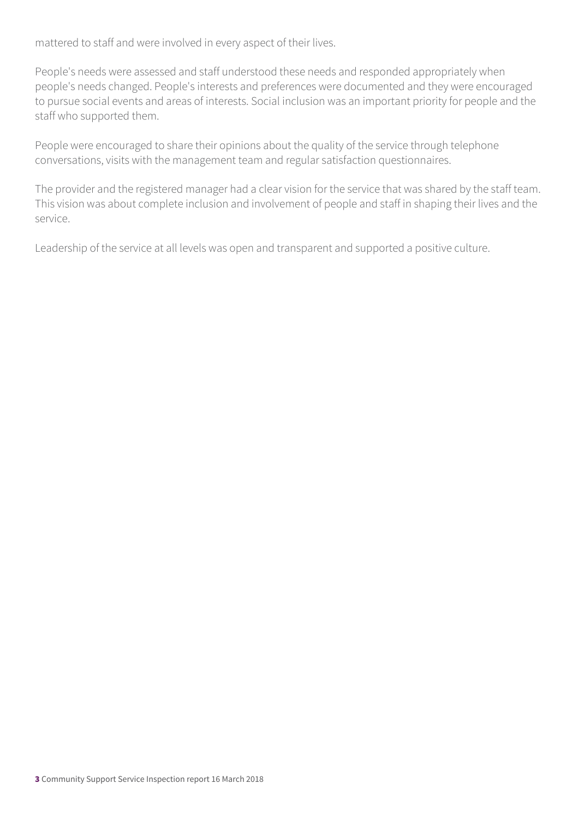mattered to staff and were involved in every aspect of their lives.

People's needs were assessed and staff understood these needs and responded appropriately when people's needs changed. People's interests and preferences were documented and they were encouraged to pursue social events and areas of interests. Social inclusion was an important priority for people and the staff who supported them.

People were encouraged to share their opinions about the quality of the service through telephone conversations, visits with the management team and regular satisfaction questionnaires.

The provider and the registered manager had a clear vision for the service that was shared by the staff team. This vision was about complete inclusion and involvement of people and staff in shaping their lives and the service.

Leadership of the service at all levels was open and transparent and supported a positive culture.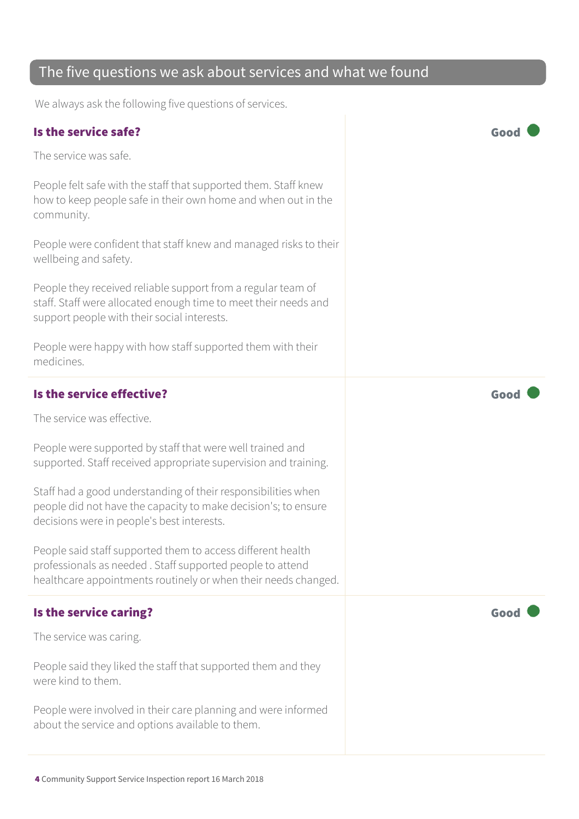#### The five questions we ask about services and what we found

We always ask the following five questions of services.

#### Is the service safe? Good The service was safe. People felt safe with the staff that supported them. Staff knew how to keep people safe in their own home and when out in the community. People were confident that staff knew and managed risks to their wellbeing and safety. People they received reliable support from a regular team of staff. Staff were allocated enough time to meet their needs and support people with their social interests. People were happy with how staff supported them with their medicines. Is the service effective?  $\blacksquare$ The service was effective. People were supported by staff that were well trained and supported. Staff received appropriate supervision and training. Staff had a good understanding of their responsibilities when people did not have the capacity to make decision's; to ensure decisions were in people's best interests. People said staff supported them to access different health professionals as needed . Staff supported people to attend healthcare appointments routinely or when their needs changed. Is the service caring? Good Contact Contact Contact Contact Contact Contact Contact Contact Contact Contact Contact Contact Contact Contact Contact Contact Contact Contact Contact Contact Contact Contact Contact Contact Co The service was caring. People said they liked the staff that supported them and they were kind to them. People were involved in their care planning and were informed about the service and options available to them.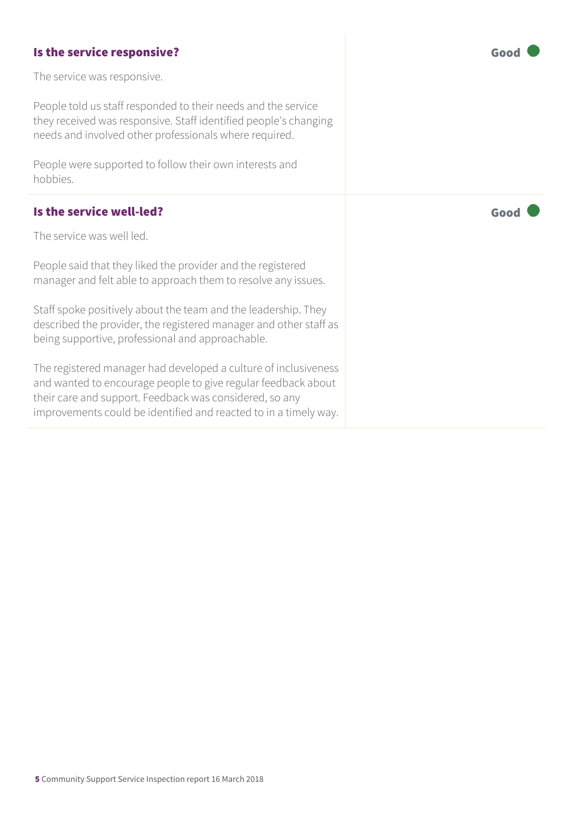#### Is the service responsive? The service responsive?

The service was responsive.

People told us staff responded to their needs and the service they received was responsive. Staff identified people's changing needs and involved other professionals where required.

People were supported to follow their own interests and hobbies.

#### Is the service well-led?  $\qquad \qquad \qquad$   $\qquad \qquad \qquad$  Good

The service was well led.

People said that they liked the provider and the registered manager and felt able to approach them to resolve any issues.

Staff spoke positively about the team and the leadership. They described the provider, the registered manager and other staff as being supportive, professional and approachable.

The registered manager had developed a culture of inclusiveness and wanted to encourage people to give regular feedback about their care and support. Feedback was considered, so any improvements could be identified and reacted to in a timely way.

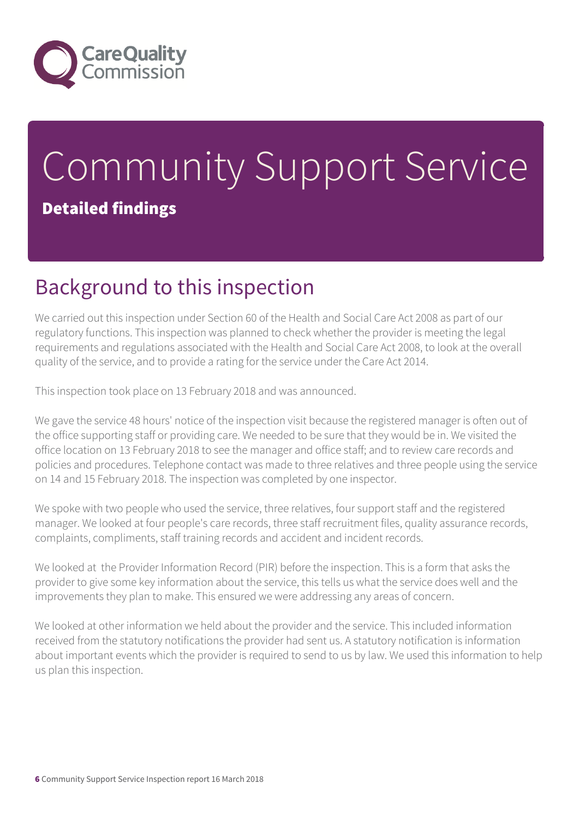

# Community Support Service Detailed findings

## Background to this inspection

We carried out this inspection under Section 60 of the Health and Social Care Act 2008 as part of our regulatory functions. This inspection was planned to check whether the provider is meeting the legal requirements and regulations associated with the Health and Social Care Act 2008, to look at the overall quality of the service, and to provide a rating for the service under the Care Act 2014.

This inspection took place on 13 February 2018 and was announced.

We gave the service 48 hours' notice of the inspection visit because the registered manager is often out of the office supporting staff or providing care. We needed to be sure that they would be in. We visited the office location on 13 February 2018 to see the manager and office staff; and to review care records and policies and procedures. Telephone contact was made to three relatives and three people using the service on 14 and 15 February 2018. The inspection was completed by one inspector.

We spoke with two people who used the service, three relatives, four support staff and the registered manager. We looked at four people's care records, three staff recruitment files, quality assurance records, complaints, compliments, staff training records and accident and incident records.

We looked at the Provider Information Record (PIR) before the inspection. This is a form that asks the provider to give some key information about the service, this tells us what the service does well and the improvements they plan to make. This ensured we were addressing any areas of concern.

We looked at other information we held about the provider and the service. This included information received from the statutory notifications the provider had sent us. A statutory notification is information about important events which the provider is required to send to us by law. We used this information to help us plan this inspection.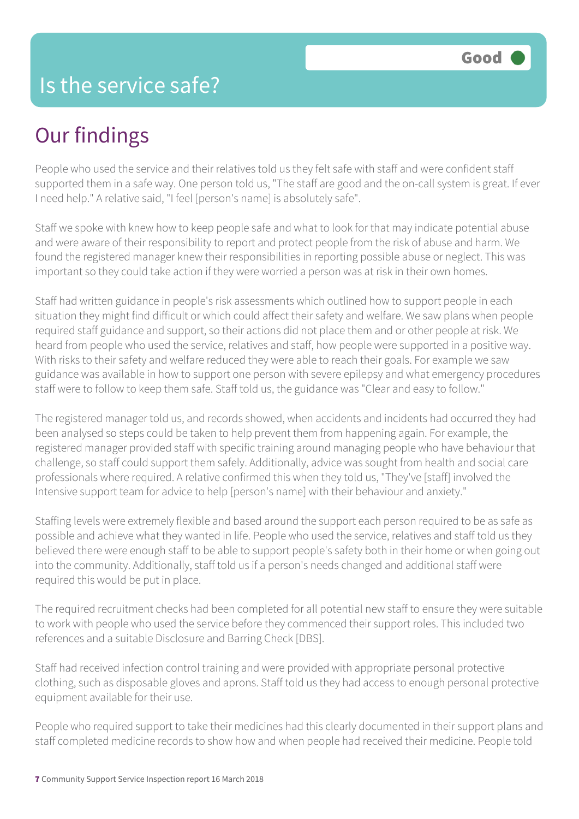# Our findings

People who used the service and their relatives told us they felt safe with staff and were confident staff supported them in a safe way. One person told us, "The staff are good and the on-call system is great. If ever I need help." A relative said, "I feel [person's name] is absolutely safe".

Staff we spoke with knew how to keep people safe and what to look for that may indicate potential abuse and were aware of their responsibility to report and protect people from the risk of abuse and harm. We found the registered manager knew their responsibilities in reporting possible abuse or neglect. This was important so they could take action if they were worried a person was at risk in their own homes.

Staff had written guidance in people's risk assessments which outlined how to support people in each situation they might find difficult or which could affect their safety and welfare. We saw plans when people required staff guidance and support, so their actions did not place them and or other people at risk. We heard from people who used the service, relatives and staff, how people were supported in a positive way. With risks to their safety and welfare reduced they were able to reach their goals. For example we saw guidance was available in how to support one person with severe epilepsy and what emergency procedures staff were to follow to keep them safe. Staff told us, the guidance was "Clear and easy to follow."

The registered manager told us, and records showed, when accidents and incidents had occurred they had been analysed so steps could be taken to help prevent them from happening again. For example, the registered manager provided staff with specific training around managing people who have behaviour that challenge, so staff could support them safely. Additionally, advice was sought from health and social care professionals where required. A relative confirmed this when they told us, "They've [staff] involved the Intensive support team for advice to help [person's name] with their behaviour and anxiety."

Staffing levels were extremely flexible and based around the support each person required to be as safe as possible and achieve what they wanted in life. People who used the service, relatives and staff told us they believed there were enough staff to be able to support people's safety both in their home or when going out into the community. Additionally, staff told us if a person's needs changed and additional staff were required this would be put in place.

The required recruitment checks had been completed for all potential new staff to ensure they were suitable to work with people who used the service before they commenced their support roles. This included two references and a suitable Disclosure and Barring Check [DBS].

Staff had received infection control training and were provided with appropriate personal protective clothing, such as disposable gloves and aprons. Staff told us they had access to enough personal protective equipment available for their use.

People who required support to take their medicines had this clearly documented in their support plans and staff completed medicine records to show how and when people had received their medicine. People told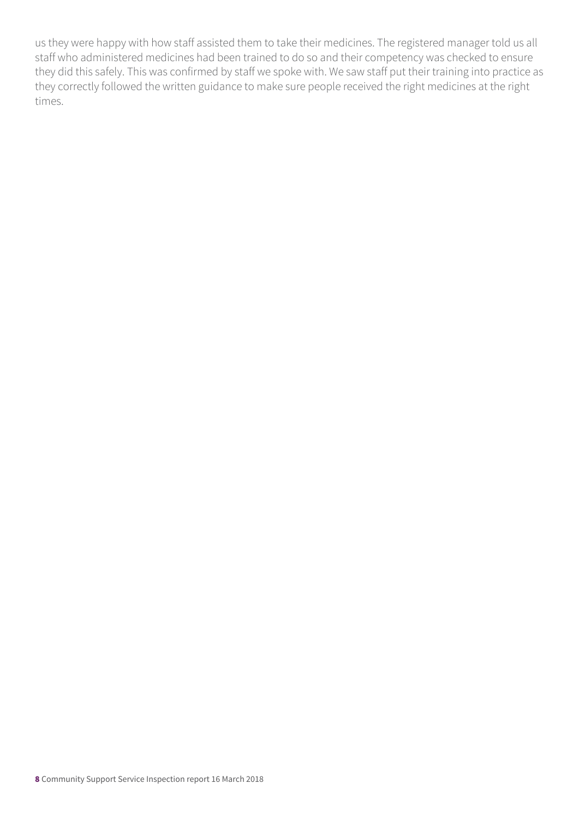us they were happy with how staff assisted them to take their medicines. The registered manager told us all staff who administered medicines had been trained to do so and their competency was checked to ensure they did this safely. This was confirmed by staff we spoke with. We saw staff put their training into practice as they correctly followed the written guidance to make sure people received the right medicines at the right times.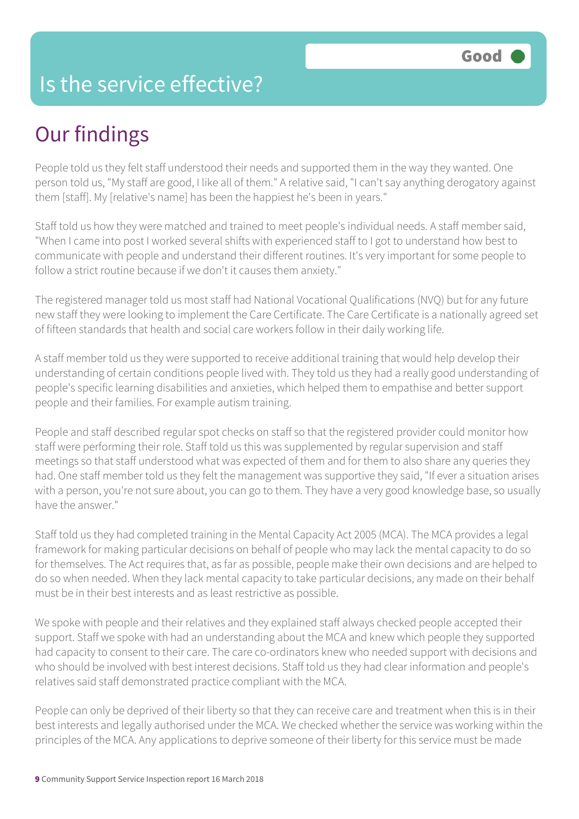#### Is the service effective?

# Our findings

People told us they felt staff understood their needs and supported them in the way they wanted. One person told us, "My staff are good, I like all of them." A relative said, "I can't say anything derogatory against them [staff]. My [relative's name] has been the happiest he's been in years."

Staff told us how they were matched and trained to meet people's individual needs. A staff member said, "When I came into post I worked several shifts with experienced staff to I got to understand how best to communicate with people and understand their different routines. It's very important for some people to follow a strict routine because if we don't it causes them anxiety."

The registered manager told us most staff had National Vocational Qualifications (NVQ) but for any future new staff they were looking to implement the Care Certificate. The Care Certificate is a nationally agreed set of fifteen standards that health and social care workers follow in their daily working life.

A staff member told us they were supported to receive additional training that would help develop their understanding of certain conditions people lived with. They told us they had a really good understanding of people's specific learning disabilities and anxieties, which helped them to empathise and better support people and their families. For example autism training.

People and staff described regular spot checks on staff so that the registered provider could monitor how staff were performing their role. Staff told us this was supplemented by regular supervision and staff meetings so that staff understood what was expected of them and for them to also share any queries they had. One staff member told us they felt the management was supportive they said, "If ever a situation arises with a person, you're not sure about, you can go to them. They have a very good knowledge base, so usually have the answer."

Staff told us they had completed training in the Mental Capacity Act 2005 (MCA). The MCA provides a legal framework for making particular decisions on behalf of people who may lack the mental capacity to do so for themselves. The Act requires that, as far as possible, people make their own decisions and are helped to do so when needed. When they lack mental capacity to take particular decisions, any made on their behalf must be in their best interests and as least restrictive as possible.

We spoke with people and their relatives and they explained staff always checked people accepted their support. Staff we spoke with had an understanding about the MCA and knew which people they supported had capacity to consent to their care. The care co-ordinators knew who needed support with decisions and who should be involved with best interest decisions. Staff told us they had clear information and people's relatives said staff demonstrated practice compliant with the MCA.

People can only be deprived of their liberty so that they can receive care and treatment when this is in their best interests and legally authorised under the MCA. We checked whether the service was working within the principles of the MCA. Any applications to deprive someone of their liberty for this service must be made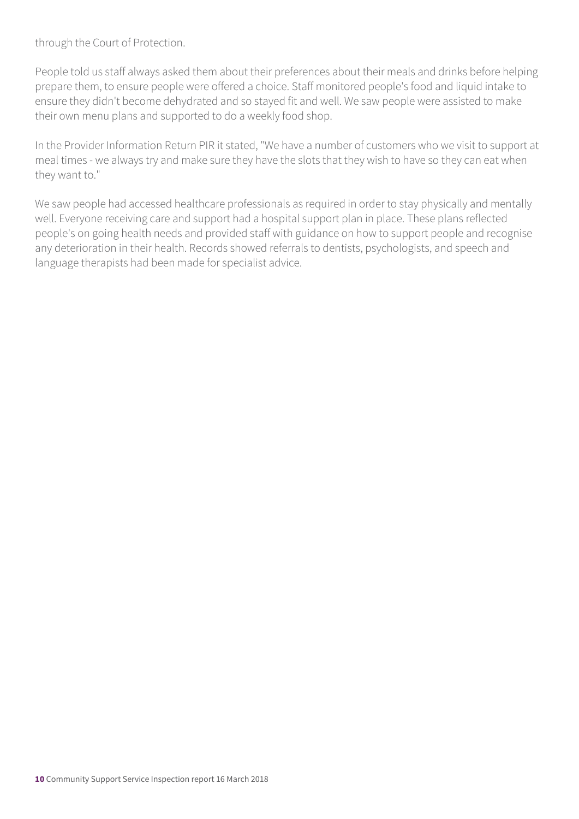through the Court of Protection.

People told us staff always asked them about their preferences about their meals and drinks before helping prepare them, to ensure people were offered a choice. Staff monitored people's food and liquid intake to ensure they didn't become dehydrated and so stayed fit and well. We saw people were assisted to make their own menu plans and supported to do a weekly food shop.

In the Provider Information Return PIR it stated, "We have a number of customers who we visit to support at meal times - we always try and make sure they have the slots that they wish to have so they can eat when they want to."

We saw people had accessed healthcare professionals as required in order to stay physically and mentally well. Everyone receiving care and support had a hospital support plan in place. These plans reflected people's on going health needs and provided staff with guidance on how to support people and recognise any deterioration in their health. Records showed referrals to dentists, psychologists, and speech and language therapists had been made for specialist advice.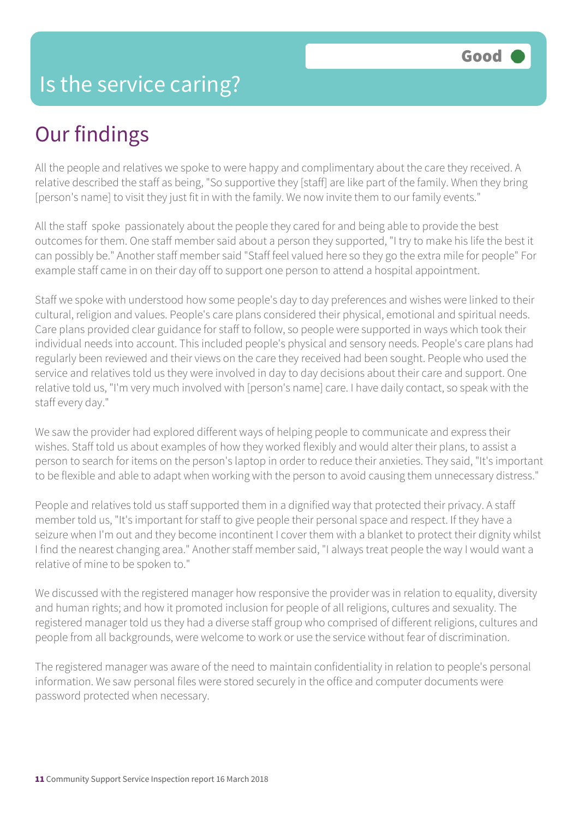# Our findings

All the people and relatives we spoke to were happy and complimentary about the care they received. A relative described the staff as being, "So supportive they [staff] are like part of the family. When they bring [person's name] to visit they just fit in with the family. We now invite them to our family events."

All the staff spoke passionately about the people they cared for and being able to provide the best outcomes for them. One staff member said about a person they supported, "I try to make his life the best it can possibly be." Another staff member said "Staff feel valued here so they go the extra mile for people" For example staff came in on their day off to support one person to attend a hospital appointment.

Staff we spoke with understood how some people's day to day preferences and wishes were linked to their cultural, religion and values. People's care plans considered their physical, emotional and spiritual needs. Care plans provided clear guidance for staff to follow, so people were supported in ways which took their individual needs into account. This included people's physical and sensory needs. People's care plans had regularly been reviewed and their views on the care they received had been sought. People who used the service and relatives told us they were involved in day to day decisions about their care and support. One relative told us, "I'm very much involved with [person's name] care. I have daily contact, so speak with the staff every day."

We saw the provider had explored different ways of helping people to communicate and express their wishes. Staff told us about examples of how they worked flexibly and would alter their plans, to assist a person to search for items on the person's laptop in order to reduce their anxieties. They said, "It's important to be flexible and able to adapt when working with the person to avoid causing them unnecessary distress."

People and relatives told us staff supported them in a dignified way that protected their privacy. A staff member told us, "It's important for staff to give people their personal space and respect. If they have a seizure when I'm out and they become incontinent I cover them with a blanket to protect their dignity whilst I find the nearest changing area." Another staff member said, "I always treat people the way I would want a relative of mine to be spoken to."

We discussed with the registered manager how responsive the provider was in relation to equality, diversity and human rights; and how it promoted inclusion for people of all religions, cultures and sexuality. The registered manager told us they had a diverse staff group who comprised of different religions, cultures and people from all backgrounds, were welcome to work or use the service without fear of discrimination.

The registered manager was aware of the need to maintain confidentiality in relation to people's personal information. We saw personal files were stored securely in the office and computer documents were password protected when necessary.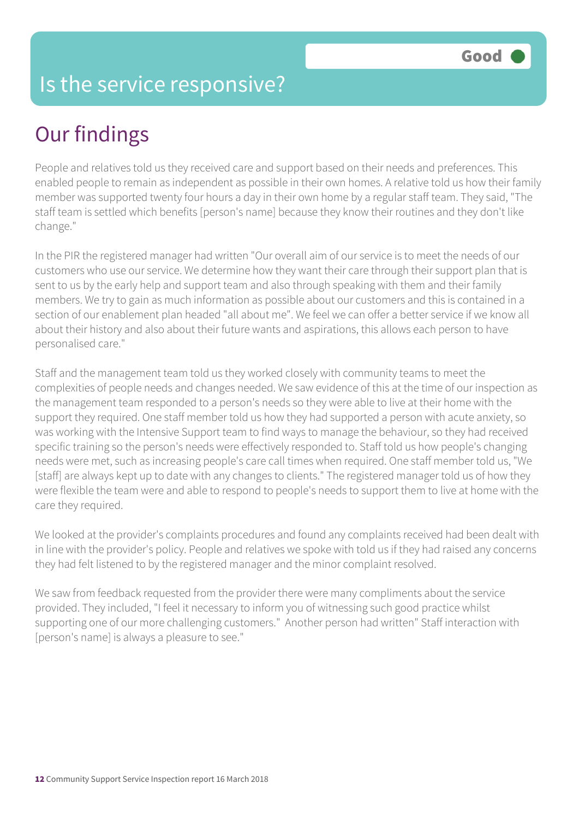#### Is the service responsive?

## Our findings

People and relatives told us they received care and support based on their needs and preferences. This enabled people to remain as independent as possible in their own homes. A relative told us how their family member was supported twenty four hours a day in their own home by a regular staff team. They said, "The staff team is settled which benefits [person's name] because they know their routines and they don't like change."

In the PIR the registered manager had written "Our overall aim of our service is to meet the needs of our customers who use our service. We determine how they want their care through their support plan that is sent to us by the early help and support team and also through speaking with them and their family members. We try to gain as much information as possible about our customers and this is contained in a section of our enablement plan headed "all about me". We feel we can offer a better service if we know all about their history and also about their future wants and aspirations, this allows each person to have personalised care."

Staff and the management team told us they worked closely with community teams to meet the complexities of people needs and changes needed. We saw evidence of this at the time of our inspection as the management team responded to a person's needs so they were able to live at their home with the support they required. One staff member told us how they had supported a person with acute anxiety, so was working with the Intensive Support team to find ways to manage the behaviour, so they had received specific training so the person's needs were effectively responded to. Staff told us how people's changing needs were met, such as increasing people's care call times when required. One staff member told us, "We [staff] are always kept up to date with any changes to clients." The registered manager told us of how they were flexible the team were and able to respond to people's needs to support them to live at home with the care they required.

We looked at the provider's complaints procedures and found any complaints received had been dealt with in line with the provider's policy. People and relatives we spoke with told us if they had raised any concerns they had felt listened to by the registered manager and the minor complaint resolved.

We saw from feedback requested from the provider there were many compliments about the service provided. They included, "I feel it necessary to inform you of witnessing such good practice whilst supporting one of our more challenging customers." Another person had written" Staff interaction with [person's name] is always a pleasure to see."